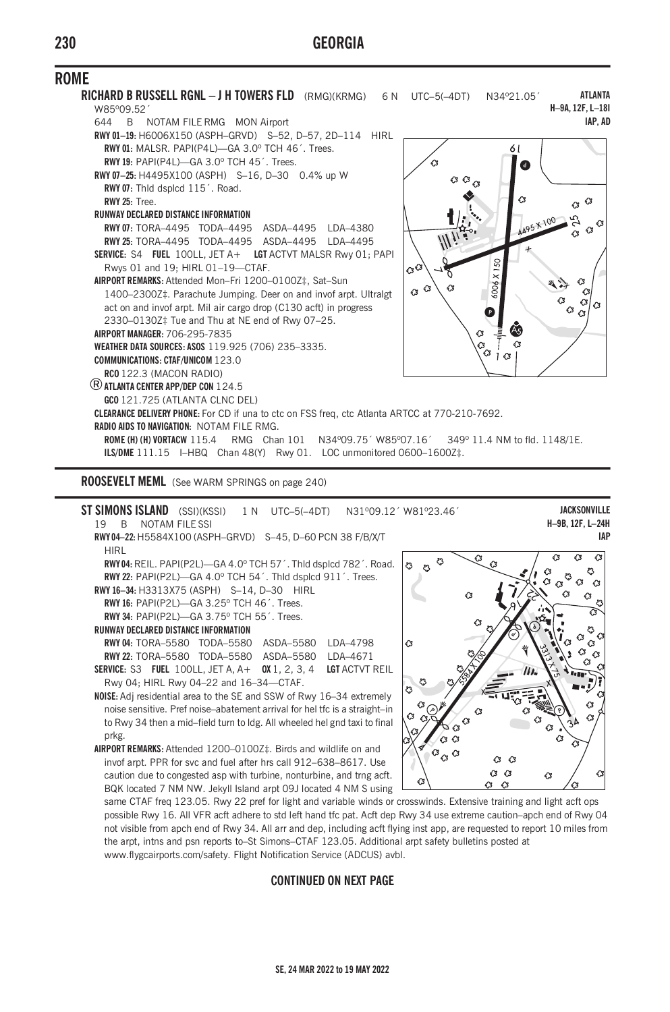

**ROOSEVELT MEML** (See WARM SPRINGS on page 240)

|                                                                            |                                                                      |    |                |  |  | <b>ST SIMONS ISLAND</b> (SSI)(KSSI) 1 N UTC-5(-4DT)            |          |    | N31°09.12' W81°23.46' |
|----------------------------------------------------------------------------|----------------------------------------------------------------------|----|----------------|--|--|----------------------------------------------------------------|----------|----|-----------------------|
|                                                                            | 19                                                                   | B. | NOTAM FILE SSL |  |  |                                                                |          |    |                       |
|                                                                            |                                                                      |    |                |  |  | RWY04-22: H5584X100 (ASPH-GRVD) S-45, D-60 PCN 38 F/B/X/T      |          |    |                       |
|                                                                            | HIRI                                                                 |    |                |  |  |                                                                |          |    |                       |
| RWY04: REIL. PAPI(P2L)-GA 4.0° TCH 57'. Thid dspicd 782'. Road.            |                                                                      |    |                |  |  |                                                                |          |    |                       |
|                                                                            | RWY 22: PAPI(P2L)-GA 4.0° TCH 54'. Thid dsplcd 911'. Trees.          |    |                |  |  |                                                                |          |    |                       |
|                                                                            | RWY 16-34: H3313X75 (ASPH) S-14, D-30 HIRL                           |    |                |  |  |                                                                |          |    |                       |
|                                                                            | RWY 16: PAPI(P2L)-GA 3.25° TCH 46'. Trees.                           |    |                |  |  |                                                                |          |    |                       |
|                                                                            | RWY 34: PAPI(P2L)-GA 3.75° TCH 55'. Trees.                           |    |                |  |  |                                                                |          |    |                       |
|                                                                            | <b>RUNWAY DECLARED DISTANCE INFORMATION</b>                          |    |                |  |  |                                                                |          |    |                       |
|                                                                            |                                                                      |    |                |  |  | <b>RWY04: TORA-5580 TODA-5580 ASDA-5580</b>                    | IDA-4798 |    | 43                    |
|                                                                            |                                                                      |    |                |  |  | <b>RWY 22: TORA-5580 TODA-5580 ASDA-5580 IDA-4671</b>          |          |    |                       |
|                                                                            |                                                                      |    |                |  |  | SERVICE: S3 FUEL 100LL, JET A, A+ 0X 1, 2, 3, 4 LGT ACTVT REIL |          |    |                       |
|                                                                            | Rwy 04; HIRL Rwy 04-22 and 16-34-CTAF.                               |    |                |  |  |                                                                |          |    | ి                     |
|                                                                            | NOISE: Adj residential area to the SE and SSW of Rwy 16-34 extremely |    |                |  |  |                                                                |          |    | ది                    |
| noise sensitive. Pref noise-abatement arrival for hel tfc is a straight-in |                                                                      |    |                |  |  |                                                                |          |    |                       |
| to Rwy 34 then a mid-field turn to Idg. All wheeled hel gnd taxi to final  |                                                                      |    |                |  |  |                                                                |          | 43 |                       |

to Rwy 34 then a mid–field turn to ldg. All wheeled hel gnd taxi to final prkg. **AIRPORT REMARKS:** Attended 1200–0100Z‡. Birds and wildlife on and invof arpt. PPR for svc and fuel after hrs call 912–638–8617. Use

caution due to congested asp with turbine, nonturbine, and trng acft. BQK located 7 NM NW. Jekyll Island arpt 09J located 4 NM S using



**JACKSONVILLE H–9B, 12F, L–24H IAP**

same CTAF freq 123.05. Rwy 22 pref for light and variable winds or crosswinds. Extensive training and light acft ops possible Rwy 16. All VFR acft adhere to std left hand tfc pat. Acft dep Rwy 34 use extreme caution–apch end of Rwy 04 not visible from apch end of Rwy 34. All arr and dep, including acft flying inst app, are requested to report 10 miles from the arpt, intns and psn reports to–St Simons–CTAF 123.05. Additional arpt safety bulletins posted at www.flygcairports.com/safety. Flight Notification Service (ADCUS) avbl.

## **CONTINUED ON NEXT PAGE**